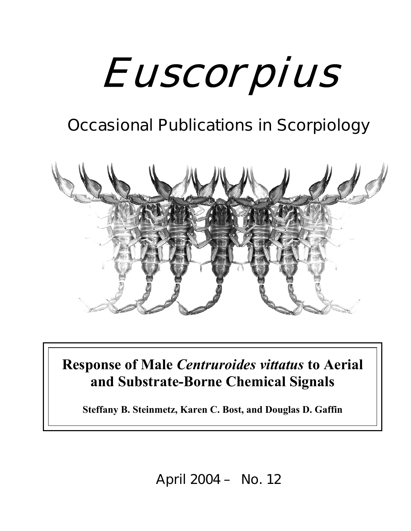# Euscorpius

# **Occasional Publications in Scorpiology**



**Response of Male** *Centruroides vittatus* **to Aerial and Substrate-Borne Chemical Signals**

**Steffany B. Steinmetz, Karen C. Bost, and Douglas D. Gaffin**

**April 2004 – No. 12**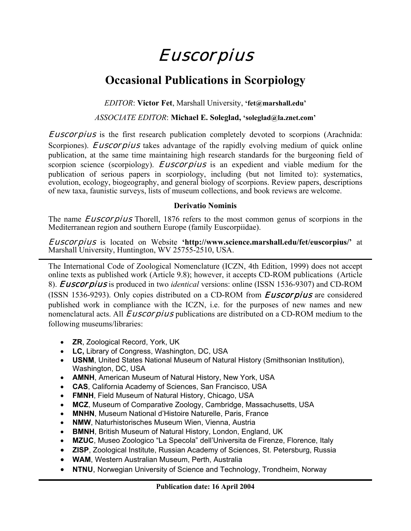## Euscorpius

## **Occasional Publications in Scorpiology**

*EDITOR*: **Victor Fet**, Marshall University, **'fet@marshall.edu'**

#### *ASSOCIATE EDITOR*: **Michael E. Soleglad, 'soleglad@la.znet.com'**

Euscorpius is the first research publication completely devoted to scorpions (Arachnida: Scorpiones). *Euscorpius* takes advantage of the rapidly evolving medium of quick online publication, at the same time maintaining high research standards for the burgeoning field of scorpion science (scorpiology). *Euscorpius* is an expedient and viable medium for the publication of serious papers in scorpiology, including (but not limited to): systematics, evolution, ecology, biogeography, and general biology of scorpions. Review papers, descriptions of new taxa, faunistic surveys, lists of museum collections, and book reviews are welcome.

#### **Derivatio Nominis**

The name *Euscorpius* Thorell, 1876 refers to the most common genus of scorpions in the Mediterranean region and southern Europe (family Euscorpiidae).

Euscorpius is located on Website **'http://www.science.marshall.edu/fet/euscorpius/'** at Marshall University, Huntington, WV 25755-2510, USA.

The International Code of Zoological Nomenclature (ICZN, 4th Edition, 1999) does not accept online texts as published work (Article 9.8); however, it accepts CD-ROM publications (Article 8). Euscorpius is produced in two *identical* versions: online (ISSN 1536-9307) and CD-ROM (ISSN 1536-9293). Only copies distributed on a CD-ROM from *Euscorpius* are considered published work in compliance with the ICZN, i.e. for the purposes of new names and new nomenclatural acts. All *Euscorpius* publications are distributed on a CD-ROM medium to the following museums/libraries:

- **ZR**, Zoological Record, York, UK
- **LC,** Library of Congress, Washington, DC, USA
- **USNM**, United States National Museum of Natural History (Smithsonian Institution), Washington, DC, USA
- **AMNH**, American Museum of Natural History, New York, USA
- **CAS**, California Academy of Sciences, San Francisco, USA
- **FMNH**, Field Museum of Natural History, Chicago, USA
- **MCZ**, Museum of Comparative Zoology, Cambridge, Massachusetts, USA
- **MNHN**, Museum National d'Histoire Naturelle, Paris, France
- **NMW**, Naturhistorisches Museum Wien, Vienna, Austria
- **BMNH**, British Museum of Natural History, London, England, UK
- **MZUC**, Museo Zoologico "La Specola" dell'Universita de Firenze, Florence, Italy
- **ZISP**, Zoological Institute, Russian Academy of Sciences, St. Petersburg, Russia
- **WAM**, Western Australian Museum, Perth, Australia
- **NTNU**, Norwegian University of Science and Technology, Trondheim, Norway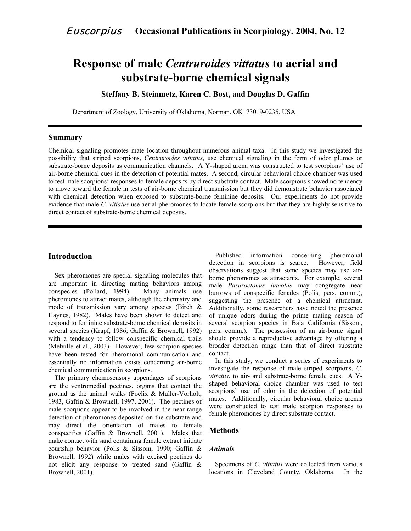### **Response of male** *Centruroides vittatus* **to aerial and substrate-borne chemical signals**

**Steffany B. Steinmetz, Karen C. Bost, and Douglas D. Gaffin**

Department of Zoology, University of Oklahoma, Norman, OK 73019-0235, USA

#### **Summary**

Chemical signaling promotes mate location throughout numerous animal taxa. In this study we investigated the possibility that striped scorpions, *Centruroides vittatus*, use chemical signaling in the form of odor plumes or substrate-borne deposits as communication channels. A Y-shaped arena was constructed to test scorpions' use of air-borne chemical cues in the detection of potential mates. A second, circular behavioral choice chamber was used to test male scorpions' responses to female deposits by direct substrate contact. Male scorpions showed no tendency to move toward the female in tests of air-borne chemical transmission but they did demonstrate behavior associated with chemical detection when exposed to substrate-borne feminine deposits. Our experiments do not provide evidence that male *C. vittatus* use aerial pheromones to locate female scorpions but that they are highly sensitive to direct contact of substrate-borne chemical deposits.

#### **Introduction**

Sex pheromones are special signaling molecules that are important in directing mating behaviors among conspecies (Pollard, 1994). Many animals use pheromones to attract mates, although the chemistry and mode of transmission vary among species (Birch & Haynes, 1982). Males have been shown to detect and respond to feminine substrate-borne chemical deposits in several species (Krapf, 1986; Gaffin & Brownell, 1992) with a tendency to follow conspecific chemical trails (Melville et al., 2003). However, few scorpion species have been tested for pheromonal communication and essentially no information exists concerning air-borne chemical communication in scorpions.

The primary chemosensory appendages of scorpions are the ventromedial pectines, organs that contact the ground as the animal walks (Foelix & Muller-Vorholt, 1983, Gaffin & Brownell, 1997, 2001). The pectines of male scorpions appear to be involved in the near-range detection of pheromones deposited on the substrate and may direct the orientation of males to female conspecifics (Gaffin & Brownell, 2001). Males that make contact with sand containing female extract initiate courtship behavior (Polis & Sissom, 1990; Gaffin & Brownell, 1992) while males with excised pectines do not elicit any response to treated sand (Gaffin & Brownell, 2001).

Published information concerning pheromonal detection in scorpions is scarce. However, field observations suggest that some species may use airborne pheromones as attractants. For example, several male *Paruroctonus luteolus* may congregate near burrows of conspecific females (Polis, pers. comm.), suggesting the presence of a chemical attractant. Additionally, some researchers have noted the presence of unique odors during the prime mating season of several scorpion species in Baja California (Sissom, pers. comm.). The possession of an air-borne signal should provide a reproductive advantage by offering a broader detection range than that of direct substrate contact.

In this study, we conduct a series of experiments to investigate the response of male striped scorpions, *C. vittatus*, to air- and substrate-borne female cues. A Yshaped behavioral choice chamber was used to test scorpions' use of odor in the detection of potential mates. Additionally, circular behavioral choice arenas were constructed to test male scorpion responses to female pheromones by direct substrate contact.

#### **Methods**

#### *Animals*

Specimens of *C. vittatus* were collected from various locations in Cleveland County, Oklahoma. In the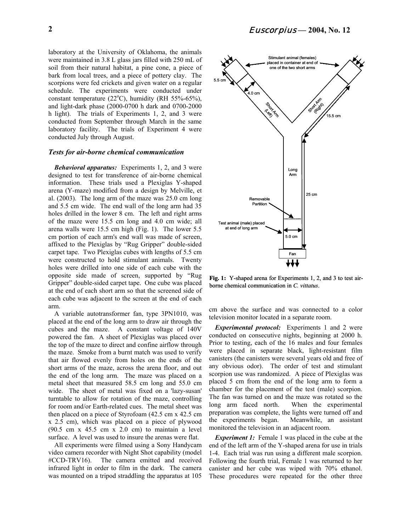laboratory at the University of Oklahoma, the animals were maintained in 3.8 L glass jars filled with 250 mL of soil from their natural habitat, a pine cone, a piece of bark from local trees, and a piece of pottery clay. The scorpions were fed crickets and given water on a regular schedule. The experiments were conducted under constant temperature (22°C), humidity (RH 55%-65%), and light-dark phase (2000-0700 h dark and 0700-2000 h light). The trials of Experiments 1, 2, and 3 were conducted from September through March in the same laboratory facility. The trials of Experiment 4 were conducted July through August.

#### *Tests for air-borne chemical communication*

*Behavioral apparatus:*Experiments 1, 2, and 3 were designed to test for transference of air-borne chemical information. These trials used a Plexiglas Y-shaped arena (Y-maze) modified from a design by Melville, et al. (2003). The long arm of the maze was 25.0 cm long and 5.5 cm wide. The end wall of the long arm had 35 holes drilled in the lower 8 cm. The left and right arms of the maze were 15.5 cm long and 4.0 cm wide; all arena walls were 15.5 cm high (Fig. 1). The lower 5.5 cm portion of each arm's end wall was made of screen, affixed to the Plexiglas by "Rug Gripper" double-sided carpet tape. Two Plexiglas cubes with lengths of 5.5 cm were constructed to hold stimulant animals. Twenty holes were drilled into one side of each cube with the opposite side made of screen, supported by "Rug Gripper" double-sided carpet tape. One cube was placed at the end of each short arm so that the screened side of each cube was adjacent to the screen at the end of each arm.

A variable autotransformer fan, type 3PN1010, was placed at the end of the long arm to draw air through the cubes and the maze. A constant voltage of 140V powered the fan. A sheet of Plexiglas was placed over the top of the maze to direct and confine airflow through the maze. Smoke from a burnt match was used to verify that air flowed evenly from holes on the ends of the short arms of the maze, across the arena floor, and out the end of the long arm. The maze was placed on a metal sheet that measured 58.5 cm long and 55.0 cm wide. The sheet of metal was fixed on a 'lazy-susan' turntable to allow for rotation of the maze, controlling for room and/or Earth-related cues. The metal sheet was then placed on a piece of Styrofoam (42.5 cm x 42.5 cm x 2.5 cm), which was placed on a piece of plywood (90.5 cm x 45.5 cm x 2.0 cm) to maintain a level surface. A level was used to insure the arenas were flat.

All experiments were filmed using a Sony Handycam video camera recorder with Night Shot capability (model #CCD-TRV16). The camera emitted and received infrared light in order to film in the dark. The camera was mounted on a tripod straddling the apparatus at 105



**Fig. 1:** Y-shaped arena for Experiments 1, 2, and 3 to test airborne chemical communication in *C. vittatus*.

cm above the surface and was connected to a color television monitor located in a separate room.

*Experimental protocol:* Experiments 1 and 2 were conducted on consecutive nights, beginning at 2000 h. Prior to testing, each of the 16 males and four females were placed in separate black, light-resistant film canisters (the canisters were several years old and free of any obvious odor). The order of test and stimulant scorpion use was randomized. A piece of Plexiglas was placed 5 cm from the end of the long arm to form a chamber for the placement of the test (male) scorpion. The fan was turned on and the maze was rotated so the long arm faced north. When the experimental preparation was complete, the lights were turned off and the experiments began. Meanwhile, an assistant monitored the television in an adjacent room.

*Experiment 1:* Female 1 was placed in the cube at the end of the left arm of the Y-shaped arena for use in trials 1-4. Each trial was run using a different male scorpion. Following the fourth trial, Female 1 was returned to her canister and her cube was wiped with 70% ethanol. These procedures were repeated for the other three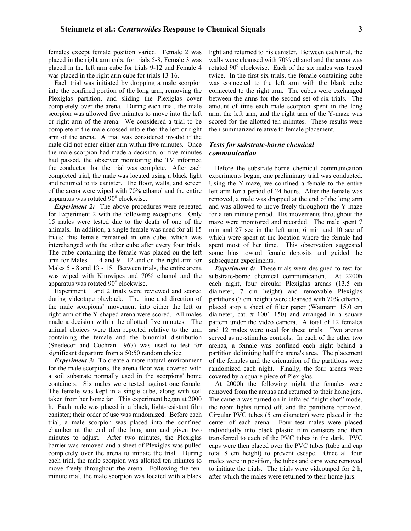females except female position varied. Female 2 was placed in the right arm cube for trials 5-8, Female 3 was placed in the left arm cube for trials 9-12 and Female 4 was placed in the right arm cube for trials 13-16.

Each trial was initiated by dropping a male scorpion into the confined portion of the long arm, removing the Plexiglas partition, and sliding the Plexiglas cover completely over the arena. During each trial, the male scorpion was allowed five minutes to move into the left or right arm of the arena. We considered a trial to be complete if the male crossed into either the left or right arm of the arena. A trial was considered invalid if the male did not enter either arm within five minutes. Once the male scorpion had made a decision, or five minutes had passed, the observer monitoring the TV informed the conductor that the trial was complete. After each completed trial, the male was located using a black light and returned to its canister. The floor, walls, and screen of the arena were wiped with 70% ethanol and the entire apparatus was rotated 90° clockwise.

**Experiment 2:** The above procedures were repeated for Experiment 2 with the following exceptions. Only 15 males were tested due to the death of one of the animals. In addition, a single female was used for all 15 trials; this female remained in one cube, which was interchanged with the other cube after every four trials. The cube containing the female was placed on the left arm for Males 1 - 4 and 9 - 12 and on the right arm for Males 5 - 8 and 13 - 15. Between trials, the entire arena was wiped with Kimwipes and 70% ethanol and the apparatus was rotated  $90^\circ$  clockwise.

Experiment 1 and 2 trials were reviewed and scored during videotape playback. The time and direction of the male scorpions' movement into either the left or right arm of the Y-shaped arena were scored. All males made a decision within the allotted five minutes. The animal choices were then reported relative to the arm containing the female and the binomial distribution (Snedecor and Cochran 1967) was used to test for significant departure from a 50:50 random choice.

*Experiment 3:* To create a more natural environment for the male scorpions, the arena floor was covered with a soil substrate normally used in the scorpions' home containers. Six males were tested against one female. The female was kept in a single cube, along with soil taken from her home jar. This experiment began at 2000 h. Each male was placed in a black, light-resistant film canister; their order of use was randomized. Before each trial, a male scorpion was placed into the confined chamber at the end of the long arm and given two minutes to adjust. After two minutes, the Plexiglas barrier was removed and a sheet of Plexiglas was pulled completely over the arena to initiate the trial. During each trial, the male scorpion was allotted ten minutes to move freely throughout the arena. Following the tenminute trial, the male scorpion was located with a black light and returned to his canister. Between each trial, the walls were cleansed with 70% ethanol and the arena was rotated 90° clockwise. Each of the six males was tested twice. In the first six trials, the female-containing cube was connected to the left arm with the blank cube connected to the right arm. The cubes were exchanged between the arms for the second set of six trials. The amount of time each male scorpion spent in the long arm, the left arm, and the right arm of the Y-maze was scored for the allotted ten minutes. These results were then summarized relative to female placement.

#### *Tests for substrate-borne chemical communication*

Before the substrate-borne chemical communication experiments began, one preliminary trial was conducted. Using the Y-maze, we confined a female to the entire left arm for a period of 24 hours. After the female was removed, a male was dropped at the end of the long arm and was allowed to move freely throughout the Y-maze for a ten-minute period. His movements throughout the maze were monitored and recorded. The male spent 7 min and 27 sec in the left arm, 6 min and 10 sec of which were spent at the location where the female had spent most of her time. This observation suggested some bias toward female deposits and guided the subsequent experiments.

*Experiment 4:* These trials were designed to test for substrate-borne chemical communication. At 2200h each night, four circular Plexiglas arenas (13.5 cm diameter, 7 cm height) and removable Plexiglas partitions (7 cm height) were cleansed with 70% ethanol, placed atop a sheet of filter paper (Watmann 15.0 cm diameter, cat. # 1001 150) and arranged in a square pattern under the video camera. A total of 12 females and 12 males were used for these trials. Two arenas served as no-stimulus controls. In each of the other two arenas, a female was confined each night behind a partition delimiting half the arena's area. The placement of the females and the orientation of the partitions were randomized each night. Finally, the four arenas were covered by a square piece of Plexiglas.

At 2000h the following night the females were removed from the arenas and returned to their home jars. The camera was turned on in infrared "night shot" mode, the room lights turned off, and the partitions removed. Circular PVC tubes (5 cm diameter) were placed in the center of each arena. Four test males were placed individually into black plastic film canisters and then transferred to each of the PVC tubes in the dark. PVC caps were then placed over the PVC tubes (tube and cap total 8 cm height) to prevent escape. Once all four males were in position, the tubes and caps were removed to initiate the trials. The trials were videotaped for 2 h, after which the males were returned to their home jars.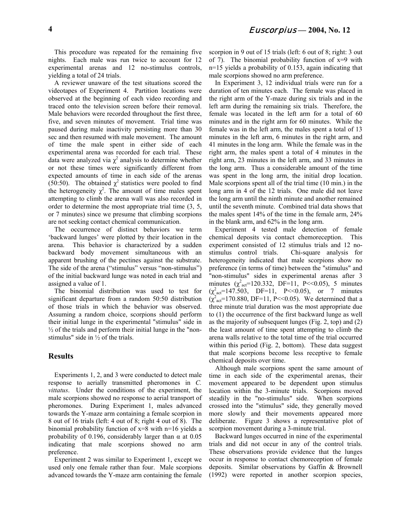This procedure was repeated for the remaining five nights. Each male was run twice to account for 12 experimental arenas and 12 no-stimulus controls, yielding a total of 24 trials.

A reviewer unaware of the test situations scored the videotapes of Experiment 4. Partition locations were observed at the beginning of each video recording and traced onto the television screen before their removal. Male behaviors were recorded throughout the first three, five, and seven minutes of movement. Trial time was paused during male inactivity persisting more than 30 sec and then resumed with male movement. The amount of time the male spent in either side of each experimental arena was recorded for each trial. These data were analyzed via  $\chi^2$  analysis to determine whether or not these times were significantly different from expected amounts of time in each side of the arenas (50:50). The obtained  $\chi^2$  statistics were pooled to find the heterogeneity  $\chi^2$ . The amount of time males spent attempting to climb the arena wall was also recorded in order to determine the most appropriate trial time (3, 5, or 7 minutes) since we presume that climbing scorpions are not seeking contact chemical communication.

The occurrence of distinct behaviors we term 'backward lunges' were plotted by their location in the arena. This behavior is characterized by a sudden backward body movement simultaneous with an apparent brushing of the pectines against the substrate. The side of the arena ("stimulus" versus "non-stimulus") of the initial backward lunge was noted in each trial and assigned a value of 1.

The binomial distribution was used to test for significant departure from a random 50:50 distribution of those trials in which the behavior was observed. Assuming a random choice, scorpions should perform their initial lunge in the experimental "stimulus" side in ½ of the trials and perform their initial lunge in the "nonstimulus" side in ½ of the trials.

#### **Results**

Experiments 1, 2, and 3 were conducted to detect male response to aerially transmitted pheromones in *C. vittatus*. Under the conditions of the experiment, the male scorpions showed no response to aerial transport of pheromones. During Experiment 1, males advanced towards the Y-maze arm containing a female scorpion in 8 out of 16 trials (left: 4 out of 8; right 4 out of 8). The binomial probability function of  $x=8$  with n=16 yields a probability of 0.196, considerably larger than  $\alpha$  at 0.05 indicating that male scorpions showed no arm preference.

Experiment 2 was similar to Experiment 1, except we used only one female rather than four. Male scorpions advanced towards the Y-maze arm containing the female

scorpion in 9 out of 15 trials (left: 6 out of 8; right: 3 out of 7). The binomial probability function of  $x=9$  with n=15 yields a probability of 0.153, again indicating that male scorpions showed no arm preference.

In Experiment 3, 12 individual trials were run for a duration of ten minutes each. The female was placed in the right arm of the Y-maze during six trials and in the left arm during the remaining six trials. Therefore, the female was located in the left arm for a total of 60 minutes and in the right arm for 60 minutes. While the female was in the left arm, the males spent a total of 13 minutes in the left arm, 6 minutes in the right arm, and 41 minutes in the long arm. While the female was in the right arm, the males spent a total of 4 minutes in the right arm, 23 minutes in the left arm, and 33 minutes in the long arm. Thus a considerable amount of the time was spent in the long arm, the initial drop location. Male scorpions spent all of the trial time (10 min.) in the long arm in 4 of the 12 trials. One male did not leave the long arm until the ninth minute and another remained until the seventh minute. Combined trial data shows that the males spent 14% of the time in the female arm, 24% in the blank arm, and 62% in the long arm.

Experiment 4 tested male detection of female chemical deposits via contact chemoreception. This experiment consisted of 12 stimulus trials and 12 nostimulus control trials. Chi-square analysis for heterogeneity indicated that male scorpions show no preference (in terms of time) between the "stimulus" and "non-stimulus" sides in experimental arenas after 3 minutes  $(\chi^2_{\text{act}}=120.332, \text{DF}=11, \text{P}<<0.05)$ , 5 minutes  $(\chi^2_{\text{act}}=147.503, \text{DF}=11, \text{P}<<0.05), \text{or} 7 \text{ minutes}$  $(\chi^2_{\text{act}} = 170.880, \text{DF} = 11, \text{P} < 0.05)$ . We determined that a three minute trial duration was the most appropriate due to (1) the occurrence of the first backward lunge as well as the majority of subsequent lunges (Fig. 2, top) and (2) the least amount of time spent attempting to climb the arena walls relative to the total time of the trial occurred within this period (Fig. 2, bottom). These data suggest that male scorpions become less receptive to female chemical deposits over time.

Although male scorpions spent the same amount of time in each side of the experimental arenas, their movement appeared to be dependent upon stimulus location within the 3-minute trials. Scorpions moved steadily in the "no-stimulus" side. When scorpions crossed into the "stimulus" side, they generally moved more slowly and their movements appeared more deliberate. Figure 3 shows a representative plot of scorpion movement during a 3-minute trial.

Backward lunges occurred in nine of the experimental trials and did not occur in any of the control trials. These observations provide evidence that the lunges occur in response to contact chemoreception of female deposits. Similar observations by Gaffin & Brownell (1992) were reported in another scorpion species,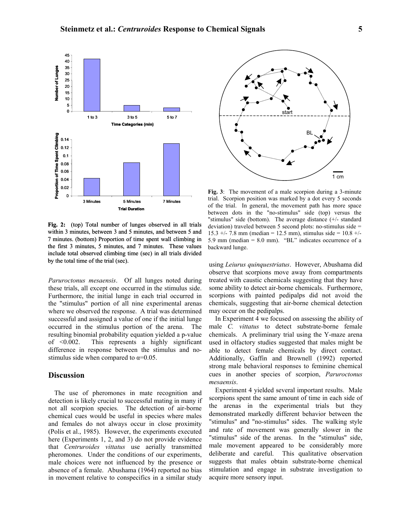

**Fig. 2:** (top) Total number of lunges observed in all trials within 3 minutes, between 3 and 5 minutes, and between 5 and 7 minutes. (bottom) Proportion of time spent wall climbing in the first 3 minutes, 5 minutes, and 7 minutes. These values include total observed climbing time (sec) in all trials divided by the total time of the trial (sec).

*Paruroctonus mesaensis*. Of all lunges noted during these trials, all except one occurred in the stimulus side. Furthermore, the initial lunge in each trial occurred in the "stimulus" portion of all nine experimental arenas where we observed the response. A trial was determined successful and assigned a value of one if the initial lunge occurred in the stimulus portion of the arena. The resulting binomial probability equation yielded a p-value of <0.002. This represents a highly significant difference in response between the stimulus and nostimulus side when compared to  $\alpha$ =0.05.

#### **Discussion**

The use of pheromones in mate recognition and detection is likely crucial to successful mating in many if not all scorpion species. The detection of air-borne chemical cues would be useful in species where males and females do not always occur in close proximity (Polis et al., 1985). However, the experiments executed here (Experiments 1, 2, and 3) do not provide evidence that *Centruroides vittatus* use aerially transmitted pheromones. Under the conditions of our experiments, male choices were not influenced by the presence or absence of a female. Abushama (1964) reported no bias in movement relative to conspecifics in a similar study



**Fig. 3**: The movement of a male scorpion during a 3-minute trial. Scorpion position was marked by a dot every 5 seconds of the trial. In general, the movement path has more space between dots in the "no-stimulus" side (top) versus the "stimulus" side (bottom). The average distance (+/- standard deviation) traveled between 5 second plots: no-stimulus side = 15.3 +/- 7.8 mm (median = 12.5 mm), stimulus side =  $10.8$  +/-5.9 mm (median  $= 8.0$  mm). "BL" indicates occurrence of a backward lunge.

using *Leiurus quinquestriatus*. However, Abushama did observe that scorpions move away from compartments treated with caustic chemicals suggesting that they have some ability to detect air-borne chemicals. Furthermore, scorpions with painted pedipalps did not avoid the chemicals, suggesting that air-borne chemical detection may occur on the pedipalps.

In Experiment 4 we focused on assessing the ability of male *C. vittatus* to detect substrate-borne female chemicals. A preliminary trial using the Y-maze arena used in olfactory studies suggested that males might be able to detect female chemicals by direct contact. Additionally, Gaffin and Brownell (1992) reported strong male behavioral responses to feminine chemical cues in another species of scorpion, *Paruroctonus mesaensis*.

Experiment 4 yielded several important results. Male scorpions spent the same amount of time in each side of the arenas in the experimental trials but they demonstrated markedly different behavior between the "stimulus" and "no-stimulus" sides. The walking style and rate of movement was generally slower in the "stimulus" side of the arenas. In the "stimulus" side, male movement appeared to be considerably more deliberate and careful. This qualitative observation suggests that males obtain substrate-borne chemical stimulation and engage in substrate investigation to acquire more sensory input.